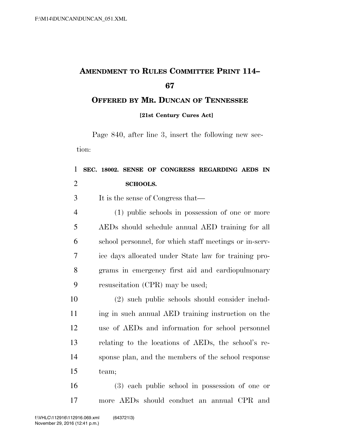## **AMENDMENT TO RULES COMMITTEE PRINT 114–**

**OFFERED BY MR. DUNCAN OF TENNESSEE [21st Century Cures Act]** 

Page 840, after line 3, insert the following new section:

## **SEC. 18002. SENSE OF CONGRESS REGARDING AEDS IN SCHOOLS.**

It is the sense of Congress that—

 (1) public schools in possession of one or more AEDs should schedule annual AED training for all school personnel, for which staff meetings or in-serv- ice days allocated under State law for training pro- grams in emergency first aid and cardiopulmonary resuscitation (CPR) may be used;

 (2) such public schools should consider includ-11 ing in such annual AED training instruction on the use of AEDs and information for school personnel relating to the locations of AEDs, the school's re- sponse plan, and the members of the school response team;

 (3) each public school in possession of one or more AEDs should conduct an annual CPR and